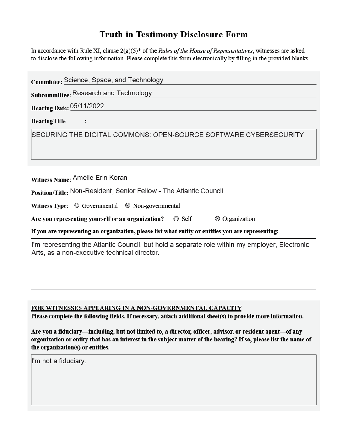## **Truth in Testimony Disclosure Form**

In accordance with Rule XI, clause  $2(g)(5)^*$  of the *Rules of the House of Representatives*, witnesses are asked to disclose the following information. Please complete this form electronically by filling in the provided blanks.

| Committee: Science, Space, and Technology                                                                                                      |  |  |
|------------------------------------------------------------------------------------------------------------------------------------------------|--|--|
| Subcommittee: Research and Technology                                                                                                          |  |  |
| <b>Hearing Date: 05/11/2022</b>                                                                                                                |  |  |
| <b>Hearing Title</b>                                                                                                                           |  |  |
| SECURING THE DIGITAL COMMONS: OPEN-SOURCE SOFTWARE CYBERSECURITY                                                                               |  |  |
|                                                                                                                                                |  |  |
|                                                                                                                                                |  |  |
| Witness Name: Amélie Erin Koran                                                                                                                |  |  |
| Position/Title: Non-Resident, Senior Fellow - The Atlantic Council                                                                             |  |  |
| <b>Witness Type:</b> $\odot$ Governmental $\odot$ Non-governmental                                                                             |  |  |
| Are you representing yourself or an organization? © Self<br>© Organization                                                                     |  |  |
| If you are representing an organization, please list what entity or entities you are representing:                                             |  |  |
| I'm representing the Atlantic Council, but hold a separate role within my employer, Electronic<br>Arts, as a non-executive technical director. |  |  |
|                                                                                                                                                |  |  |
|                                                                                                                                                |  |  |

FOR WITNESSES APPEARING IN A NON-GOVERNMENTAL CAPACITY

Please complete the following fields. If necessary, attach additional sheet(s) to provide more information.

Are you a fiduciary—including, but not limited to, a director, officer, advisor, or resident agent—of any organization or entity that has an interest in the subject matter of the hearing? If so, please list the name of the organization(s) or entities.

I'm not a fiduciary.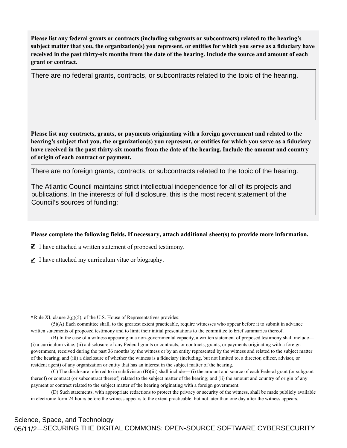Please list any federal grants or contracts (including subgrants or subcontracts) related to the hearing's subject matter that you, the organization(s) you represent, or entities for which you serve as a fiduciary have received in the past thirty-six months from the date of the hearing. Include the source and amount of each **grant or contract.** 

There are no federal grants, contracts, or subcontracts related to the topic of the hearing.

Please list any contracts, grants, or payments originating with a foreign government and related to the hearing's subject that you, the organization(s) you represent, or entities for which you serve as a fiduciary have received in the past thirty-six months from the date of the hearing. Include the amount and country **of origin of each contract or payment.** 

There are no foreign grants, contracts, or subcontracts related to the topic of the hearing.

The Atlantic Council maintains strict intellectual independence for all of its projects and publications. In the interests of full disclosure, this is the most recent statement of the Council's sources of funding:

## Please complete the following fields. If necessary, attach additional sheet(s) to provide more information.

 $\blacksquare$  I have attached a written statement of proposed testimony.

 $\blacksquare$  I have attached my curriculum vitae or biography.

**\***Rule XI, clause 2(g)(5), of the U.S. House of Representatives provides:

(5)(A) Each committee shall, to the greatest extent practicable, require witnesses who appear before it to submit in advance written statements of proposed testimony and to limit their initial presentations to the committee to brief summaries thereof.

(B) In the case of a witness appearing in a non-governmental capacity, a written statement of proposed testimony shall include— (i) a curriculum vitae; (ii) a disclosure of any Federal grants or contracts, or contracts, grants, or payments originating with a foreign government, received during the past 36 months by the witness or by an entity represented by the witness and related to the subject matter of the hearing; and (iii) a disclosure of whether the witness is a fiduciary (including, but not limited to, a director, officer, advisor, or resident agent) of any organization or entity that has an interest in the subject matter of the hearing.

(C) The disclosure referred to in subdivision (B)(iii) shall include— (i) the amount and source of each Federal grant (or subgrant thereof) or contract (or subcontract thereof) related to the subject matter of the hearing; and (ii) the amount and country of origin of any payment or contract related to the subject matter of the hearing originating with a foreign government.

(D) Such statements, with appropriate redactions to protect the privacy or security of the witness, shall be made publicly available in electronic form 24 hours before the witness appears to the extent practicable, but not later than one day after the witness appears.